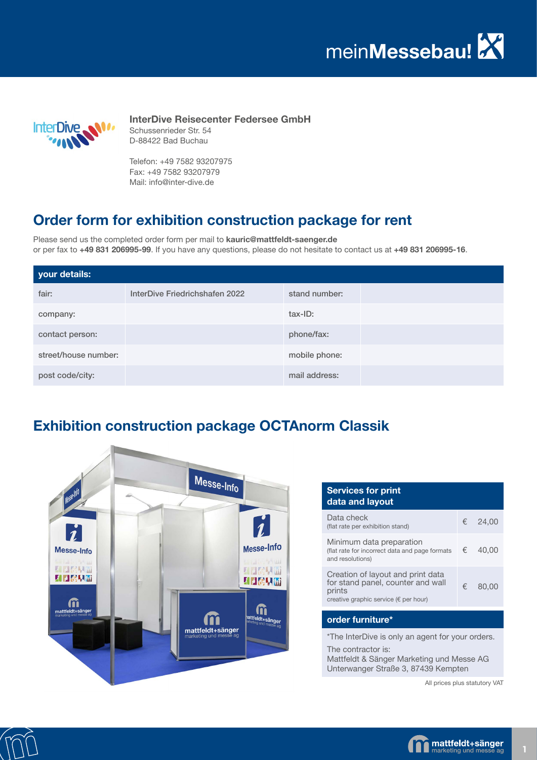mein**Messebau!**



**InterDive Reisecenter Federsee GmbH** Schussenrieder Str. 54 D-88422 Bad Buchau

Telefon: +49 7582 93207975 Fax: +49 7582 93207979 Mail: info@inter-dive.de

## **Order form for exhibition construction package for rent**

Please send us the completed order form per mail to **kauric@mattfeldt-saenger.de** or per fax to **+49 831 206995-99**. If you have any questions, please do not hesitate to contact us at **+49 831 206995-16**.

| your details:        |                                |               |  |
|----------------------|--------------------------------|---------------|--|
| fair:                | InterDive Friedrichshafen 2022 | stand number: |  |
| company:             |                                | tax-ID:       |  |
| contact person:      |                                | phone/fax:    |  |
| street/house number: |                                | mobile phone: |  |
| post code/city:      |                                | mail address: |  |

## **Exhibition construction package OCTAnorm Classik**



| <b>Services for print</b><br>data and layout                                                                              |   |         |  |  |
|---------------------------------------------------------------------------------------------------------------------------|---|---------|--|--|
| Data check<br>(flat rate per exhibition stand)                                                                            |   | € 24.00 |  |  |
| Minimum data preparation<br>(flat rate for incorrect data and page formats<br>and resolutions)                            | € | 40.00   |  |  |
| Creation of layout and print data<br>for stand panel, counter and wall<br>prints<br>creative graphic service (€ per hour) | € | 80.00   |  |  |
| order furniture*                                                                                                          |   |         |  |  |

\*The InterDive is only an agent for your orders.

The contractor is:

Mattfeldt & Sänger Marketing und Messe AG Unterwanger Straße 3, 87439 Kempten

All prices plus statutory VAT